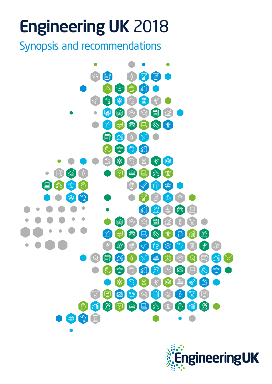# Engineering UK 2018

Synopsis and recommendations



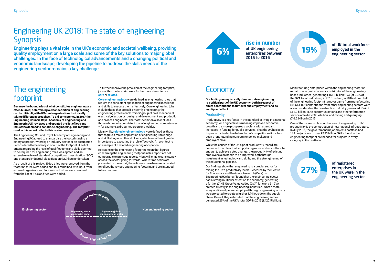## Engineering UK 2018: The state of engineering **Synopsis**

Engineering plays a vital role in the UK's economic and societal wellbeing, providing quality employment on a large scale and some of the key solutions to major global challenges. In the face of technological advancements and a changing political and economic landscape, developing the pipeline to address the skills needs of the engineering sector remains a key challenge.

### of UK total workforce employed in the engineering sector



## The engineering footprint

**Because the boundaries of what constitutes engineering are often blurred, determining a clear definition of engineering can be difficult, with different organisations historically taking different approaches. To aid consistency, in 2017 the Engineering Council, Royal Academy of Engineering and EngineeringUK reviewed and updated the list of jobs and industries deemed to constitute engineering. The footprint used in this report reflects this revised version.**

The Engineering Council, Royal Academy of Engineering and EngineeringUK agreed to standardise the footprint using a binary approach, whereby an industry sector or an occupation is considered to be wholly in or out of the footprint. A set of criteria regarding the level of qualifications and skills deemed to be required for engineering roles was agreed and an extensive review of standard occupational classification (SOC) and standard industrial classification (SIC) lists undertaken.

As a result of this review, 10 job titles were removed from the footprint, three were added and four remained with input from external organisations. Fourteen industries were removed from the list of SICs and two were added.

To further improve the precision of the engineering footprint, jobs within the footprint were furthermore classified as **core** or **related**.

**Core engineering jobs** were defined as engineering roles that require the consistent application of engineering knowledge and skills to execute them effectively. Core engineering jobs include those that are self-evidently engineering: the engineering professionals 'minor' group of civil, mechanical, electrical, electronics, design and development and production and process engineers. The 'core' definition also includes those who require consistent use of engineering competences – for example, a draughtsperson or a welder.

Meanwhile, **related engineering jobs** were defined as those that require a mixed application of engineering knowledge and skill alongside other skill sets, which are often of greater importance to executing the role effectively. An architect is an example of a related engineering occupation.

Revisions to the engineering footprint mean that figures concerning the engineering footprint in this report are not comparable to previous reports – but will enable consistency across the sector going forwards. Where time series are presented in the report, these figures have been recalculated to reflect the revised engineering footprint and are intended to be compared.

**Our findings unequivocally demonstrate engineering is a critical part of the UK economy, both in respect of direct contributions to turnover and employment and its 'multiplier' effect.** 

### Productivity

Productivity is a key factor in the standard of living in a national economy, with higher levels meaning improved economic growth and a more prosperous society, with attendant increases in funding for public services. That the UK has seen its productivity decline below that of competitor nations has been a long-standing concern for policy-makers and employers alike.

While the causes of the UK's poor productivity record are contested, it is clear that simply hiring more workers will not be enough to achieve a step change: the productivity of existing employees also needs to be improved, both through investment in technology and skills, and the strengthening of the educational pipeline.

Our findings show that engineering is a crucial sector for raising the UK's productivity levels. Research by the Centre for Economics and Business Research (Cebr) on EngineeringUK's behalf found that the engineering sector had a strong multiplier effect on the economy, generating a further £1.45 Gross Value Added (GVA) for every £1 GVA created directly in the engineering industries. What's more, every additional person employed through engineering activity was projected to create a further 1.74 jobs down the supply chain. Overall, they estimated that the engineering sector generated 25% of the UK's total GDP in 2015 (£420.5 billion).



**rise in number**  of UK engineering enterprises between 2015 to 2016

## **Economy**



Manufacturing enterprises within the engineering footprint remain the largest economic contributor of the engineeringbased industries, generating £156.1 billion GVA (or 9.3% of the GVA for all industries) in 2015. Indeed, in 2016 almost half of the engineering footprint turnover came from manufacturing (46.5%). But contributions from other engineering sectors were also considerable: the construction industry generated GVA of £62.9 billion, IT, telecommunications and other information service activities £85.4 billion, and mining and quarrying £16.2 billion in 2015.

One of the more visible contributions of engineering to UK productivity is the construction of new national infrastructure. In July 2016, the government major projects portfolio had 143 projects worth over £455 billion. Skills found in the engineering footprint are needed for projects in every category in the portfolio.

> of registered enterprises in the UK were in the engineering sector

**27%**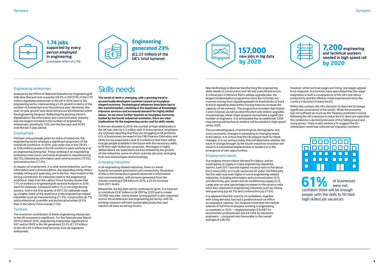### Engineering enterprises

Analysis by the Office of National Statistics for EngineeringUK indicates that just over a quarter (26.9% or 687,575) of the 2.55 million registered enterprises in the UK in 2016 were in the engineering sector, representing a 5.6% growth in terms of the number of enterprises over the previous year. Moreover, this year-on-year growth was observed across all industries within the engineering footprint. Reflecting the growing trend in digitalisation, the information and communication industry saw the largest increase in the number of engineering enterprises, growing by 7.6% over the last year and 40.8% over the last 5 year period.

### Employment

Perhaps unsurprisingly, given its share of enterprise, the engineering sector employs a significant proportion of the overall UK workforce. In 2016, just under one in five (18.9% – or 5.66 million) people in the UK workforce were working in at an engineering enterprise. Those working in an engineering enterprise were most commonly employed in manufacturing (42.3%), followed by information and communication (19.5%) and construction (17.2%).

In respect of employment, it is clear some industries, such as information and communications, are expanding while others, notably mining and quarrying, are in decline. Also evident is the strong contribution EU nationals make to the engineering workforce. Data from the Labour Force Survery shows that 7.7% of workers in EngineeringUK sectoral footprint in 2016 were EU nationals, compared with 6.1% in non engineering sectors. And in the first quarter of 2017, EU nationals made up a higher share of the workforce in key engineering-related industries such as manufacturing (11.5%), construction (8.7%) and professional, scientific and technical activities (8.1%) than in the labour force overall (7.3%).

### **Turnover**

The economic contribution of these engineering enterprises to the UK economy is significant. For the financial year March 2015 to March 2016, engineering enterprises registered for VAT and/or PAYE in the UK generated 23.2% (£1.23 trillion) of the UK's £5.3 trillion total turnover from all registered enterprises.

## Skills needs

**The world of work is changing, with a growing trend in economically developed countries toward an hourglass shaped economy. Technological advances have been key to this transformation, resulting in the expansion of knowledgeintensive services and increased demand for highly skilled labour. As we move further towards an hourglass economy, fuelled by the fourth industrial revolution, there are clear implications for the engineering sector and its skills needs**.

In the two decades to 2014, the number of high-skilled jobs in the UK has risen by 2.3 million and, in some sectors, employers are routinely reporting that they are struggling to fill positions. 61% of businesses surveyed in the CBI/Pearson Education and Skills Survey expressed a lack of confidence that there will be enough people available in the future with the necessary skills to fill their high-skilled job vacancies. Shortages in highly skilled labour are expected to be exacerbated by the growth of new industries, some of which scarcely yet exist, emerging from new technologies and knowledge.

### Emerging industries

In all engineering related industries, there is a trend towards increased automation and connectivity. Illustrative of this is the tremendous growth observed in information and communication, with turnover generated from the industry reaching £198 billion in 2016, a 23.5% increase from 2011 levels.

Meanwhile, the big data sector continues to grow. It is forecast to contribute £241 billion to UK GDP by 2020 and to create 157,000 new jobs. Going ahead, strong growth is also expected across the architecture and engineering job family, with 3D printing, resource-efficient sustainable production and robotics all seen as strong drivers.

New technology is likewise transforming the engineering skills needs of construction and rail and road infrastructure. A critical part of Network Rail's railway upgrade plan, the largest modernisation programme since the Victorian era, involves moving from signalling based on fixed blocks of track to block signalling sited within moving trains to increase the capacity of the network. The programme includes High Speed 2 and Crossrail, as well as electrification and station upgrades. Unsurprisingly, these major projects necessitate a significant number of engineers. It is anticipated that an additional 7,200 engineering and technical workers will be needed in high speed rail by 2020.

This accelerating pace of technological, demographic and socio-economic changes is translating to changing needs in the labour. It is critical that the UK prepare itself for these changes. It is our actions today that will determine whether the wave of change brought by the fourth industrial revolution will result in a substantial displacement of workers or in the emergence of new opportunities.

### Employment trends

Our analysis shows robust demand for labour, and an outstripping of supply in many engineering industries. April to June 2017 saw the highest vacancy ratio in the labour force since 2001, at 2.6 job vacancies for every 100 filled jobs. Yet this ratio was even higher in some engineering-related industries, including information and communication (3.3) and electricity, gas, steam and air conditioning supply (3.2). Large year-on-year percentage increases in the vacancy ratio were also observed in engineering industries such as mining and quarrying (up 66.7%) and construction (up 27.0%).

It is apparent that the scarcity of candidates, together with rising demand, has had a positive knock-on effect on engineers' salaries. Our analysis found that the median salaries of full time employees working in engineering occupations in 2016 – ranging between £32,987 for environment professionals and £47,394 for electronic engineers – compared very favourably to the overall average of £28,195.



However, while nominal wages are rising, real wages appear to be stagnant. Economists have speculated that this wage stagnation is both a consequence of the UK's low labour productivity and the inflation it has experienced since the country's decision to leave the EU.

Within this context, the UK's decision to leave the EU brings significant uncertainty to the sector. While the economy has not suffered as much as the Treasury predicted it would following the UK's decision to leave the EU, there are signs that this resilience is declining because of the falling pound and rising prices. There is also evidence to suggest the EU referendum result has reduced net migration numbers.



**1.74 jobs** supported by every person employed in engineering (a multiplier effect of 2.74)





of businesses were not confident there will be enough people with the skills to fill their high-skilled job vacancies **61%**

**Engineering generated 23%** (£1.23 trillion) of the UK's total turnover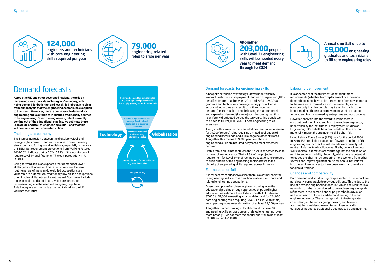

## Demand forecasts

The increasing fusion between the digital, physical, and biological, has driven – and will continue to drive – already strong demand for highly skilled labour, especially in the area of STEM. Net requirement projections from Working Futures 2014-2024 indicate that by 2024, 54.1% of the workforce will require Level 4+ qualifications. This compares with 41.1%  $in 2014$ 

**Across the UK and other developed nations, there is an increasing move towards an 'hourglass' economy, with rising demand for both high and low skilled labour. It is clear from our analysis that the engineering sector is no exception to this trend. Moreover, there is considerable demand for engineering skills outside of industries traditionally deemed to be engineering. Given the engineering talent currently coming out of the educational pipeline, we estimate there is an acute shortfall of engineering skills – and that this will continue without concerted action.** 

### The hourglass economy

Going forward, it is also expected that demand for lower skilled jobs will increase. This is because while the semiroutine nature of many middle-skilled occupations are vulnerable to automation, traditionally low-skilled occupations often involve skills not readily automated. Such roles include those in health and social care, which are forecasted to increase alongside the needs of an ageing population. This 'hourglass economy' is expected to hold for the UK well into the future.

### Demand forecasts for engineering skills

A bespoke extension of *Working Futures* undertaken by Warwick Institute for Employment Studies on EngineeringUK's behalf estimates that between 2014 and 2024, 1,240,000 graduate and technician core engineering jobs will arise across all industries as a result of both replacement demand (i.e. the result of people leaving the labour force) and expansion demand (i.e. new jobs). Assuming that this is uniformly distributed across the ten years, this translates to a need to fill 124,000 Level 3+ core engineering roles every year.

Alongside this, we anticipate an additional annual requirement for 79,000 "related" roles requiring a mixed application of engineering knowledge and skill alongside other skill sets. Altogether, this means 203,000 people with Level 3+ engineering skills are required per year to meet expected demand.

Of this total annual net requirement, 57.7% is expected to arise in the engineering sector. That 42.3% of the projected requirement for Level 3+ engineering occupations is expected to arise outside of the engineering sector attests to the ubiquity of engineering skills required across industry.

### Estimated shortfall

It is evident from our analysis that there is a critical shortfall in engineering skills across qualification levels and core and related engineering occupations.

Given the supply of engineering talent coming from the educational pipeline through apprenticeships and higher education, we estimate there to be a shortfall of between 37,000 to 59,000 in meeting an annual demand for 124,000 core engineering roles requiring Level 3+ skills. Within this, we expect a graduate-level shortfall of at least 22,000 per year.

Altogether – when looking at total demand for Level 3+ engineering skills across core and related engineering roles more broadly – we estimate the annual shortfall to be at least 83,000, and up to 110,000.



Altogether, **203,000**people with Level 3+ engineering skills will be needed every year to meet demand through to 2024

Annual shortfall of up to **59,000**engineering graduates and technicians to fill core engineering roles



### Labour force movement

It is accepted that the fulfilment of net recuitment requirements (whether from replacement or expansion demand) does not have to be met entirely from new entrants to the workforce from education. For example, some economically inactive people may transition back to the labour market. There is also movement within the labour force to and from engineering enterprises and occupations.

However, analysis into the extent to which there is occupational mobility to and from the engineering sector, undertaken by the Institute for Employment Studies on EngineeringUK's behalf, has concluded that these do not materially impact the engineering skills shortfall.

Using Labour Force Survey (LFS) data for the period 2006 to 2016, IES concluded that annual flows into and out of the engineering sector over the last decade were broadly net neutral. This has two implications. Firstly, our engineering skills shortfall estimates are robust against the omission of net intersectoral mobility. Secondly, while there is potential to reduce the shortfall by attracting more workers from other sectors and improving retention, so far annual net inflows into the engineering sector have been too small to make a tangible difference.

### Changes and comparability

Both demand and shortfall figures presented in this report are not directly comparable to previous editions. This is due to the use of a revised engineering footprint, which has resulted in a narrowing of what is considered to be engineering, alongside refinement in the demand and supply methodology, such as the inclusion of forecasted demand arising in the non engineering sector. These changes aim to foster greater consistency in the sector going forward, and take into account the considerable need for engineering skills outside of industries traditionally deemed to be engineering.

**124,000** engineers and technicians with core engineering skills required per year



**79,000**  engineering-related roles to arise per year

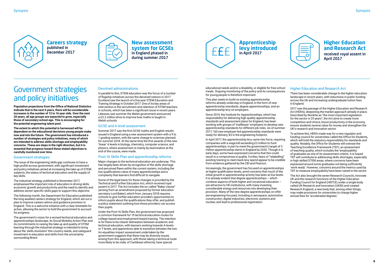

## Government strategies and policy initiatives

**Population projections from the Office of National Statistics indicate that in the next 5 years, there will be considerable increases in the number of 12 to 16 year olds. Over the next 20 years, all age groups are expected to grow, especially those of secondary school age. This is encouraging for the potential engineering talent pool.** 

**The extent to which this potential is harnessed will be dependent on the educational decisions young people make now and into the future. The government has introduced a number of strategies and policy initiatives, many of which are intended to address skills shortage and employability concerns. These are steps in the right direction, but it is essential that progress toward these stated objectives is carefully monitored over time.** 

### Government strategies

The issue of the engineering skills gap continues to have a high profile across government, with significant investment and policy initiatives aimed at increasing the take up of STEM subjects, the status of technical education and the supply of key skills.

The industrial strategy, published in November 2017, emphasised the important role of education in driving skills, economic growth and productivity and the need to identify and address sector-specific skills gaps to support this objective.

The following month, the Department for Education published the long awaited careers strategy for England, which set out a plan to improve careers advice and guidance provision in England. This is a welcome initiative with a clear timetable for action, allowing the sector to hold the government to account for progress.

The government's vision for a revised technical education and apprenticeships landscape, its Social Mobility Action Plan and its commitments to raising the take up and quality of STEM learning through the industrial strategy is intended to bring about the 'skills revolution' this country needs, and safeguard investment in education and skills from the uncertainty surrounding Brexit.

### Devolved administrations

In parallel to this, STEM education was the focus of a number of flagship initiatives across the devolved nations in 2017. Scotland saw the launch of a five year STEM Education and Training Strategy in October 2017. One of its key areas of intervention is the recruitment and retention of STEM teachers in schools, which has been a significant issue in recent years. Likewise, last summer the Welsh government announced a £3.2 million drive to improve how maths is taught in Welsh schools.

### GCSE and A-level assessment

Summer 2017 saw the first GCSE maths and English results issued in England using a new assessment system with a 9 to 1 grading system, with the same change to sciences planned for summer 2018. At the same time the first awards of the new 'linear' A levels in biology, chemistry, computer science, and physics, where assessment is mainly by examination at the end of the course, were made.

### Post-16 Skills Plan and apprenticeship reforms

Major changes to the technical education are underway. This has largely been driven by recognition of the skills shortage and perceived flaws within the current system, including the low qualifications value of many apprenticeships and a complexity that learners find difficult to navigate.

Some of the legal basis for these changes is provided by the Technical and Further Education Act, which received royal assent in 2017. The Act includes the so-called "Baker clause" (arising from an amendment proposed by former education secretary Lord Baker), which from January 2018 requires schools to give further education providers opportunities to inform pupils about the qualifications they offer, and publish a policy statement outlining how those providers can access their pupils.

Under the Post-16 Skills Plan, the government has proposed a common framework for 15 technical education routes for college-based and employment-based training. The intention is for there to be clearer delineation between academic and technical education, with learners working towards A-levels or T-levels, and apprentices able to transition between the two. An equalities impact assessment undertaken by the government suggests that there may be diversity issues arising from this approach, with those taking a technical route more likely to be male, of Caribbean ethnicity, have special

educational needs and/or a disability, or eligible for free school meals. Ongoing monitoring of the policy and its consequences for young people is therefore important.

This plan seeks to build on existing apprenticeship reforms already underway in England, in the form of new apprenticeship standards, degree apprenticeships, and an apprenticeship levy on employers.

Since 2014, the Institute for Apprenticeships, which has responsibility for delivering high quality apprenticeship standards and assessment plans for England, has been working with groups of 'trailblazer' employers to develop new apprenticeship standards for different job roles. As of summer 2017, 160 new employer-led apprenticeship standards were ready for delivery, 83 in the engineering footprint.

In April 2017, the apprenticeship levy came into force, requiring companies with a wage bill exceeding £3 million to fund apprenticeships, in part to meet the government's target of 3 million apprenticeship starts in England by 2020. Though it is early days, some have expressed concerns that this could result in a compromise in quality. Further, fears of "relabelling" existing training to claim back levy spend appear to be credible from evidence gathered by the CBI and Pearson.

Increasingly, the government has focused on apprenticeships at higher qualification levels, amid concerns that much of the initial growth in apprenticeship activity has been at low levels. It is already evident that degree apprenticeships – which combine aspects of both higher and vocational education – are attractive to HE institutions, with many investing considerable energy and resources into developing their provision. Many of the new degree apprenticeships on offer are engineering-focused, including in aerospace, automotive, construction, digital industries, electronic systems and nuclear, and lead to professional registration.

### Higher Education and Research Act

There has been considerable change to the higher education landscape in recent years, with reductions in public funding across the UK and increasing undergraduate tuition fees in England.

2017 saw the passage of the Higher Education and Research Act (HERA), deepening the market approach already in place. Described by Wonkhe as "the most important legislation for the sector in 25 years", the Act aims to create more competition and choice, boost productivity in the economy, ensure students receive value for money and strengthen the UK's research and innovation sector.

To achieve this, HERA made way for a new regulator and funding council for universities called the Office for Students, which will hold the statutory responsibility for standards and quality. Notably, the Office for Students will oversee the Teaching Excellence Framework (TEF), an assessment of teaching quality, which includes the 'employability' of graduates as one of its assessment criteria. It is hoped TEF will contribute to addressing skills shortages, especially in high skilled STEM areas, where concerns have been expressed around some graduates not being sufficiently 'work ready'. However, concerns around the metrics used by TEF to measure employability have been raised in the sector.

The Act also brought the seven Research Councils, Innovate UK and the research functions of the Higher Education Funding Council for England (HEFCE) under a single body called UK Research and Innovation (UKRI) and created Research England, a new body that, among other things, may make provisions for universities to charge higher annual fees for 'accelerated degrees.'

**Higher Education and Research Act**  received royal assent in April 2017

**Apprenticeship levy introduced** ££ in April 2017

**New assessment system for GCSEs**  in England phased in during summer 2017



**Careers strategy** published in December 2017

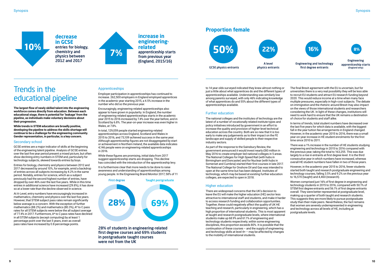## Trends in the educational pipeline

**The largest flow of newly skilled talent into the engineering workforce comes directly from education. Between each educational stage, there is potential for 'leakage' from the pipeline, as individuals make voluntary decisions about their progression.** 

**While trends in STEM education are broadly positive, developing the pipeline to address the skills shortage will continue to be a challenge for the engineering community. Gender representation, in particular, is a key concern.** 

### Secondary school

GCSE entries are a major indicator of skills at the beginning of the engineering talent pipeline. Analysis of GCSE entries over the last five year period present a mixed picture, but often show declining entry numbers in STEM and, particularly for technology subjects, skewed towards entries by boys.

Entries for biology, chemistry and physics between 2012 and 2017 decreased by around 10%, for example, amid a backdrop of entries across all subjects increasing by 4.2% in the same period. Notably, entries for science, which as a subject previously had the second highest number of entries, have dropped by over 46% over the last five years. While in this time entries in additional science have increased (29.8%), it has done so at a lower rate than the decline observed in science.

**decrease in GCSE** entries for biology, chemistry and physics between 2012 and 2017 **10%**<br>
entries for biology,<br>
chemistry and<br>
physics between



At A-Level, entry numbers have encouragingly increased in mathematics, chemistry and physics over the last five years. However, that STEM subject pass rates remain significantly below average is a concern. With the exception of further mathematics (88.2%) and mathematics (80.3%), A\* to C pass rates for all STEM subjects were below the all subject average of 77.4% in 2017. Furthermore, A\* to C pass rates have declined in all STEM subjects (except computing) by at least 1 percentage point over the last 5 years, even as overall pass rates have increased by 0.8 percentage points.

### Apprenticeships

Employer participation in apprenticeships has continued to increase. 262,500 employers in England employed apprentices in the academic year starting 2015, a 4.5% increase in the number who did so the previous year.

Encouragingly, engineering-related apprenticeships also appear to have grown in popularity. In England, the number of engineering-related apprenticeships starts in the academic year 2015 to 2016 increased by 7.4% over the year before, and in Scotland by 6.8%. The year-on-year increase was even higher in Wales, at 7.8%.

In total, 129,059 people started engineering-related apprenticeships across England, Scotland and Wales in 2015 to 2016, and 73,109 achieved success in the same year. Although apprenticeship figures are not disaggregated by start or achievement in Northern Ireland, the available data indicates 4,146 people were on engineering-related apprenticeships in 2016.

While these figures are promising, initial data from 2017 suggest apprenticeship starts are dropping. This decline has coincided with the introduction of the apprenticeship levy.

It is furthermore clear that more needs to be done to raise awareness and understanding of apprenticeships among young people. In the Engineering Brand Monitor 2017, 58% of 11

### **increase in engineeringrelated** apprenticeship starts from previous year

Engineering and technology first degree entrants

Engineering apprenticeship starts (England only)

to 14 year olds surveyed indicated they knew almost nothing or just a little about what apprentices do and the different types of apprenticeships available. Understanding was similarly low among parents surveyed, with only 46% indicating knowledge of what apprentices do and 55% about the different types of apprenticeships available.

### Further education

The national colleges and the institutes of technology are the latest of a number of vocationally related institute types and policy initiatives introduced by government in an effort to increase the quality and provision of higher-level technical education across the country. Both are so new that it is too early to make any judgements as to their impact on the FE landscape and supply of skilled people to their respective industry sectors.

As part of the response to the Sainsbury Review, the government announced it would invest nearly £80 million in May 2016 to create employer-led national colleges in 5 areas. The National Colleges for High Speed Rail (with hubs in Birmingham and Doncaster) and for Nuclear (with hubs in Somerset and Cumbria) started their first courses in late 2017. The National College for Onshore Oil and Gas was intended to open at the same time but has been delayed. Institutes of technology, which may be based at existing further education colleges, are expected to open in 2018.

### Higher education

There are widespread concerns that the UK's decision to leave the EU will make the higher education (HE) sector less attractive to international staff and students, and make it harder to access research funding and collaboration opportunities. Together, these could negatively affect the quality of UK HE teaching and research, particularly in engineering, which has a high proportion of international students. This is most apparent at taught and research postgraduate levels, where international students make up 68.9% and 61.1% of engineering and technology students respectively; within some engineering disciplines, this proportion exceeds 80%. It is possible that the continuation of these courses – and the supply of engineering and technology skills at level 4+ – may be affected by changes to the mobility of international students.







The final Brexit agreement with the EU is uncertain, but for universities there is a very real possibility they will be less able to recruit EU students and attract EU research funding beyond 2020. This would reduce income at a time when many face multiple pressures, especially in high-cost subjects. The debate on immigration and the rhetoric around Brexit may also impact on the views of those international students and researchers considering the UK. In light of these changes, institutions will need to work hard to ensure that the UK remains a destination of choice for students and staff alike.

In terms of trends, total student numbers have decreased over the last five years for which data is available, with the biggest fall in the year tuition fee arrangements in England changed. However, in the academic year 2015 to 2016, there was a small year-on-year increase in HE student enrolments for the first time since 2010 to 2011.

There was a 1% increase in the number of HE students studying engineering and technology in 2015 to 2016 compared with the previous year, taking the total to 163,255. This was due largely to a rise in entrants at first degree level. It is the third consecutive year in which numbers have increased, whereas overall HE student numbers have fallen in two of those years.

However, in the academic year 2015 to 2016, fewer students started both taught and research postgraduate engineering and technology courses, falling 3.5% and 9.2% on the previous year to 16,570 (taught) and 4,460 (research).

Women comprised just 16% of first degree in engineering and technology students in 2015 to 2016, compared with 50.1% of STEM first degree entrants and 56.1% of first degree entrants overall. They were better represented at postgraduate level, making up a quarter of both taught and research students. This suggests they are more likely to pursue postgraduate study than their male peers. Nevertheless, the fact remains that women are severely underrepresented in engineering and technology across all levels of HE, including at postgraduate levels.

28% of students in engineering-related first degree courses and 69% students in postgraduate taught courses were not from the UK



### **Proportion female**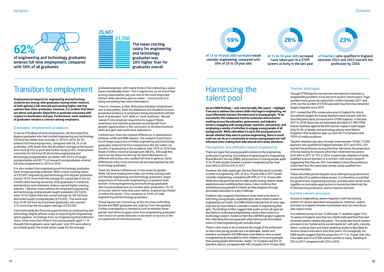## Transition to employment

**Employment prospects for engineering and technology students are strong, with graduates having better chances of both getting a full-time job and earning higher starting salaries than other graduates. However, it is evident that there are ethnic and gender disparities in graduate outcomes with respect to destination and pay. Furthermore, work readiness of graduates remains a concern among employers.**

### Graduates' employment prospects

In terms of finding full time employment, UK domiciled first degree graduates who had studied engineering and technology full time fare better than average. In 2015 to 2016, 62.0% entered full time employment, compared with 56.1% of all graduates, with fewer than the all subject average entering part time work (8.0%) or work and further study (2.8%). Employment outcomes for full time UK domiciled engineering and technology postgraduates are better still: 63.5% of taught postgraduates and 80.7% of research postgraduates entered full time employment in 2015 to 2016.

It is also evident that engineering and technology graduates have strong earnings potential. With a mean starting salary of £25,607, engineering and technology first degree graduates earned 18.0% more than the average for a graduate in the six months after leaving university. Only graduates in medicine and dentistry and veterinary science earned higher starting salaries. Likewise, mean salaries for employed engineering and technology postgraduate taught graduates (£27,623) were 10.5% higher than the overall average for UK full-time domiciled taught postgraduates (£25,002). The same was true of UK full-time doctoral level graduates, who earned 3.1% more than the all subject average of £33,092.

Communicating the financial opportunities an engineering and technology degree affords is key to improving the engineering talent pipeline. As findings from our Engineering Brand Monitor show, while more than three in five young people aged 11-19 thought that engineers were 'well paid,' only 20% were able to accurately guess the broad salary range for the average

The mean starting salary for engineering and technology graduates was 18% higher than for graduates overall

of engineering and technology graduates entered full time employment, compared with 56% of all graduates





graduate engineer, with nearly three in five indicating a salary band considerably lower. This is significant, as we found that among respondents, pay was one of the most important factors when deciding upon a career – second only to it being something they were interested in.

There is, however, a clear distinction between employment and employability. Both the Wakeham and Shadbolt reviews presented evidence of employers being dissatisfied with the level of graduates' 'soft' skills or 'work readiness'. Myriad research into employer requirements support these assertions and indicate graduates would benefit from greater opportunities in the curriculum to develop business skills and gain real world work experience.

Furthermore, there are marked differences in destinations between white and BME leavers. Our analysis found that a much larger proportion of white engineering and technology graduates entered full time employment (65.6%) within six months of graduating in the academic year 2015 to 2016 than those of ethnic minority background (48.6%). Although this trend can be observed among UK domiciled leavers of different ethnicities who studied full time in general, these differences were more pronounced among engineering and technology graduates.

There are likewise differences in outcomes by gender. While full time employment rates are similar among male and female engineering and technology graduates, larger proportions of men enter engineering occupations than women. Among engineering and technology graduates who found employment six months after graduation, 35.7% of women were in roles that were neither engineering-related or within the sector. This compares to 29.6% of male engineering and technology graduates.

These figures are concerning, at the very least indicating female and BME graduates are 'leaking' from the pipeline. Further investigation is needed to look at whether these gender and ethnicity gaps come from engineering graduates' own choice of career direction or are down to factors in the occupational recruitment process.

**of 11 to 14 year olds surveyed** would consider engineering, compared with 39% of 16 to 19 year olds

**59%**

### **of teachers** who qualified in England between 2011 and 2015 had left the profession by 2016



have taken part in a STEM



## Harnessing the talent pool

However, the older pupils get, the less likely they are to consider a career in engineering: 39% of 16 to 19 year olds in 2017 would consider engineering, compared with 59% of 11 to 14 year olds. While this may partly be due to older pupils having clearer career aspirations and solidifying their plans, it also confirms that sustaining young people's interest as they progress through secondary education is a key challenge.

**As our EBM findings – and, more broadly, this report – highlight, if we are to address the severe skills shortage in engineering, we must effectively harness the talent pool of young people. To be successful, this endeavour must be extensive and inclusive: working across the education, government, and industry sectors; engaging with young people, teachers, and parents; and employing a variety of activities to engage young people of all backgrounds. While ultimately it is up to the young person to decide whether they want to pursue engineering, there is much work we can do as a community to ensure young people are well**  2017 marked the fifth consecutive year in England for which recruitment targets for trainee teachers were missed, with the shortfall particularly pronounced in STEM subjects. In the year 2017 to 2018, there was an estimated shortfall of 2,188 STEM trainee teachers against the DfE teacher supply model target. Only 33.4% of design and technology places were filled in England in that academic year, as were 68.1% of physics and 78.9% of maths positions.

Evidence also suggests that there is more work to be done in informing young people, especially girls, about what a career in engineering can entail. Our EBM results indicate that at every age, boys are far more likely to consider a career in engineering than girls. The findings further suggest that pupils across all ages are less likely to understand engineering careers than science or technology careers. Evidence from the ASPIRES project supports this, indicating that young people often have poorly formulated views of what engineering jobs actually entail.

**informed when making their educational and career decisions.** Perceptions and attitudes toward engineering There are signs that young people's interest in the engineering profession is growing. According to EngineeringUK's Engineering Brand Monitor Survey (EBM), the proportion of young people aged 11 to 19 who would consider a career in engineering has risen from 40% in 2013 to 51% in 2017. Teacher retention has also not seen improvement. Of the 117,000 teachers who qualified in England between 2011 and 2015, 23% had left the profession during that time. Moreover, the proportion of those leaving for reasons other than retirement has grown from 68% in 2011 to 75% in 2014. In particular, retention of newly qualified science teachers is a concern, with recent research suggesting that they are 20% more likely to leave the profession within their first five years than similar newly qualified nonscience teachers.

There is also more to do to improve the image of the profession so that more young people see it as desirable. Adults and teachers surveyed in the EBM were more likely to view a career in engineering as desirable for their children or for young people than young people themselves: nearly 7 in 10 adults and 8 in 10 teachers said so, compared with 44% of pupils (16 to 19 year olds).

### Teacher shortages

Though STEM teacher recruitment and retention has been a longstanding problem, it has become acute in recent years. Pupil numbers have grown by nearly half a million between 2011 and 2016, but the number of STEM specialist teachers has remained largely stagnant since 2015.

These shortfalls persist despite many attempts by governments across the UK to address these issues. It is therefore crucial that the government, engineering industry, and education sector work together on innovative approaches to incentivise talent into the STEM teaching profession, and to improve retention.

### Current careers provision

Access to engineering careers requires a well-functioning system of careers education and guidance. However, careers provision in England remains inconsistent and can miss those who need it most.

In a national survey of over 13,000 year 11 students (aged 15 to 16 years) in England, less than two-thirds indicated that they had received careers-related education. The study also found careers provision to be "patterned by social injustices", with girls, minority ethnic, working class and lower-attaining students less likely to receive careers education than their peers. Encouragingly, our EBM results suggest that the proportion of 11 to 14 year olds who have taken part in a STEM careers activity is rising, standing at 28% in 2017 compared with 23% in 2016.

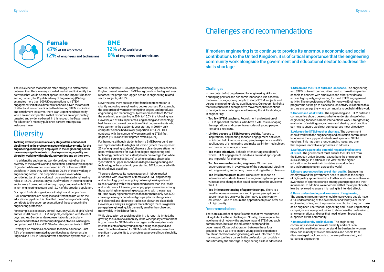There is evidence that schools often struggle to differentiate between the offers in a very crowded market and to identify the activities that would be most appropriate and impactful in their setting. In fact, the Royal Academy of Engineering (RAEng) estimates more than 600 UK organisations run STEM engagement initiatives directed at schools. Given the amount of effort and resources directed to delivering STEM inspiration and enrichment initiatives, there is an urgent need to identify which are most impactful so that resources are appropriately targeted and evidence-based. In this respect, the Department for Education's recently published careers strategy is a welcome move.

## **Diversity**

**Tackling diversity issues at every stage of the educational pipeline and in the profession needs to be a key priority for the engineering community. Employers in the engineering sector have a very significant role to play in promoting equality and diversity, working with schools, universities and on their own.**

It is evident the engineering workforce does not reflect the diversity of the overall working population, particularly in respect of gender. While women comprised 46.9% of the overall UK workforce in 2016, they only made up 20.5% of those working in engineering sector. This proportion is even lower when considering just those working in core and related engineering roles, at 12.0%. Likewise, only 8.1% of workers in the engineering sector were from ethnic minority groups, compared with 12.7% in non-engineering sectors, and 12.2% of the broader population.

Our report finds strong evidence that girls and people from BME communities are being lost at different points within the educational pipeline. It is clear that these 'leakages' ultimately contribute to the underrepresentation of these groups in the engineering profession.

For example, at secondary school level, only 27.1% of girls' A level entries in 2017 were in STEM subjects, compared with 45.6% of boys' entries. Gender underrepresentation is particularly pronounced within A-level computing and physics, where girls comprised just 9.8% and 21.5% of entries, respectively, in 2017.

Diversity also remains a concern in technical education. Just 7.5% of engineering related apprenticeship achievements in England and 3.4% in Scotland were completed by women in 2015

**BME 12%** of UK workforce **8%** of engineers and technicians

to 2016. And while 10.3% of people achieving apprenticeships in England overall were from BME backgrounds – the highest ever recorded, the proportion lagged behind in engineering-related sector subjects, at 6.8%.

Nevertheless, there are signs that female representation is slightly improving in engineering degree courses. For example, the proportion of women entering first degree undergraduate engineering and technology subjects increased from 15.1% in the academic year starting in 2014 to 16.0% the following year. However, out of all subject areas, engineering and technology had the second lowest proportion of first degree entrants who were women in the academic year starting in 2015 – only computer science had a lower proportion, at 14.9%. This contrasts with the number of women starting STEM first degrees (50.1%) and first degrees overall (56.1%).

Furthermore, although students from a BME background are well represented within higher education (where they represent 25% of engineering students), there are clear degree attainment gaps, with outcomes for BME first degree engineering and technology qualifiers consistently lower on average than white qualifiers. Four in five (80.4%) of white students obtained a 'good' (first or upper second class) degree in engineering and technology in the academic year starting 2015, compared with 68.5% of BME qualifiers.

There are also equality issues apparent in labour market outcomes, with lower rates of female and BME engineering and technology graduates going on to engineering-related roles or working within the engineering sector than their male and white peers. Likewise, gender pay gaps are evident among those working in engineering occupations, with the average full time salary higher for women than for men in only two SOC core engineering occupational groups (electrical engineers and electrical and electronic trades not elsewhere classified). However, our analysis suggests that although there is a gender pay gap in engineering, it is generally smaller than observed more widely in the labour force.

While discussion on social mobility in this report is limited, the growing focus on social mobility in the wider policy environment is good news for STEM skills shortages, as this may translate into the talents of more young people being recognised and used. Growth in demand for STEM skills likewise represents a significant opportunity to promote greater overall social mobility in the UK.



**Female 47%** of UK workforce **12%** of engineers and technicians

> In the context of strong demand for engineering skills and a changing political and economic landscape, it is essential that we encourage young people to study STEM subjects and pursue engineering-related qualifications. Our report highlights that while there has been positive movement, there continue to be significant challenges to addressing the skills shortage in engineering:

- **Too few STEM teachers.** Recruitment and retention of STEM specialist teachers, who have a vital role in shaping the aspirations and career trajectories of young people, remains a key issue.
- **Limited access to STEM careers activity.** Access to inspirational engineering-focused engagement activities, which can help to ensure young people experience real life applications of engineering and make well-informed subject and career decisions, is uneven.
- **Too many initiatives.** Schools often struggle to identify which STEM engagement initiatives are most appropriate and impactful for their setting.
- **Too few women becoming engineers.** Women are underrepresented in every stage of the educational pipeline into engineering and among those working in the profession.
- **Too little home grown talent.** Our current reliance on international students leaves the engineering talent pipeline vulnerable to changes that could occur once the UK leaves the EU.
- **Too little understanding of apprenticeships.** There is a need to increase awareness and improve perceptions of apprenticeships as a worthy alternative to a university education – and to ensure the apprenticeships on offer are of high quality.

### Recommendations

There are a number of specific actions that we recommend taking to tackle these challenges. Notably, these require the involvement of not only the engineering and STEM outreach communities, but also the education sector and the government. Closer collaboration between these four groups is key if we are to ensure young people experience real life applications of engineering, are well-informed of the many opportunities a career in the profession can provide – and ultimately, the shortage in engineering skills is addressed. **1.Streamline the STEM outreach landscape.** The engineering and STEM outreach communities need to make it simpler for schools to connect with employers and other providers to access high quality, engineering focused STEM engagement activity. The re-positioning of the Tomorrow's Engineers programme as the go to place for such activity will address this and we encourage the whole community to get behind this work.

**2.Understand what works.** The engineering and STEM outreach communities should develop a better understanding of what engineering-focused careers interventions work. Strengthening evaluation of existing programmes and sharing good practice can help to ensure we direct our resources most effectively.

**3.Address the STEM teacher shortage.** The government should work with the engineering and education communities to increase the supply and retention of specialist STEM teachers. This has been a long-standing issue, and one that requires innovative approaches to address.

**4.Safeguard against the potential negative implications of Brexit.** The government must ensure the UK's exit from the European Union does not exacerbate the engineering skills shortage. In particular, it is vital that the higher education sector maintain its status as world-class and welcoming to talent across the world.

**5.Ensure apprenticeships are of high quality.** Engineering employers and the government need to increase the supply of high quality apprenticeships. Further work is required to raise awareness of apprenticeships among young people and their influencers. In addition, we recommend that the apprenticeship levy be reviewed to ensure it is having its intended effect.

### **6.Raise understanding and awareness of engineering.**

The engineering community should ensure young people have a full understanding of the excitement and variety a career in engineering offers, and the potential contribution they can make as an engineer. The Year of Engineering and This is Engineering campaigns are key opportunities to showcase the profession to a new generation, and ones that need to be embraced and supported by the community.

**7. Improve diversity and inclusion.** The engineering community should improve its diversity and inclusion record. We need to better understand the barriers for women, black and minority ethnic communities and people from disadvantaged backgrounds to pursue pathways into, and careers in, engineering.

## Challenges and recommendations

If modern engineering is to continue to provide its enormous economic and social contributions to the United Kingdom, it is of critical importance that the engineering community work alongside the government and educational sector to address the skills shortage.

### **Challenges**